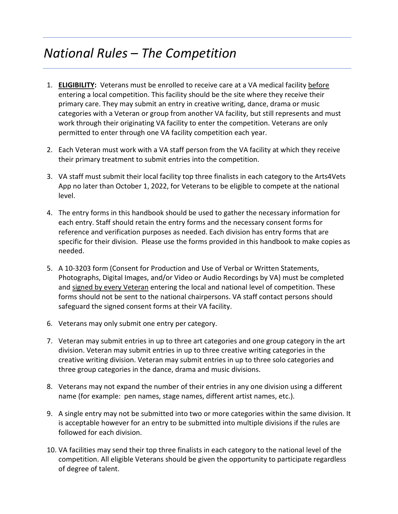### *National Rules – The Competition*

- 1. **ELIGIBILITY:** Veterans must be enrolled to receive care at a VA medical facility before entering a local competition. This facility should be the site where they receive their primary care. They may submit an entry in creative writing, dance, drama or music categories with a Veteran or group from another VA facility, but still represents and must work through their originating VA facility to enter the competition. Veterans are only permitted to enter through one VA facility competition each year.
- 2. Each Veteran must work with a VA staff person from the VA facility at which they receive their primary treatment to submit entries into the competition.
- 3. VA staff must submit their local facility top three finalists in each category to the Arts4Vets App no later than October 1, 2022, for Veterans to be eligible to compete at the national level.
- 4. The entry forms in this handbook should be used to gather the necessary information for each entry. Staff should retain the entry forms and the necessary consent forms for reference and verification purposes as needed. Each division has entry forms that are specific for their division. Please use the forms provided in this handbook to make copies as needed.
- 5. A 10-3203 form (Consent for Production and Use of Verbal or Written Statements, Photographs, Digital Images, and/or Video or Audio Recordings by VA) must be completed and signed by every Veteran entering the local and national level of competition. These forms should not be sent to the national chairpersons. VA staff contact persons should safeguard the signed consent forms at their VA facility.
- 6. Veterans may only submit one entry per category.
- 7. Veteran may submit entries in up to three art categories and one group category in the art division. Veteran may submit entries in up to three creative writing categories in the creative writing division. Veteran may submit entries in up to three solo categories and three group categories in the dance, drama and music divisions.
- 8. Veterans may not expand the number of their entries in any one division using a different name (for example: pen names, stage names, different artist names, etc.).
- 9. A single entry may not be submitted into two or more categories within the same division. It is acceptable however for an entry to be submitted into multiple divisions if the rules are followed for each division.
- 10. VA facilities may send their top three finalists in each category to the national level of the competition. All eligible Veterans should be given the opportunity to participate regardless of degree of talent.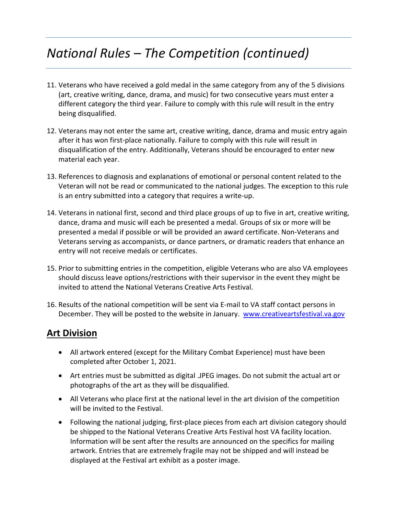# *National Rules – The Competition (continued)*

- 11. Veterans who have received a gold medal in the same category from any of the 5 divisions (art, creative writing, dance, drama, and music) for two consecutive years must enter a different category the third year. Failure to comply with this rule will result in the entry being disqualified.
- 12. Veterans may not enter the same art, creative writing, dance, drama and music entry again after it has won first-place nationally. Failure to comply with this rule will result in disqualification of the entry. Additionally, Veterans should be encouraged to enter new material each year.
- 13. References to diagnosis and explanations of emotional or personal content related to the Veteran will not be read or communicated to the national judges. The exception to this rule is an entry submitted into a category that requires a write-up.
- 14. Veterans in national first, second and third place groups of up to five in art, creative writing, dance, drama and music will each be presented a medal. Groups of six or more will be presented a medal if possible or will be provided an award certificate. Non-Veterans and Veterans serving as accompanists, or dance partners, or dramatic readers that enhance an entry will not receive medals or certificates.
- 15. Prior to submitting entries in the competition, eligible Veterans who are also VA employees should discuss leave options/restrictions with their supervisor in the event they might be invited to attend the National Veterans Creative Arts Festival.
- 16. Results of the national competition will be sent via E-mail to VA staff contact persons in December. They will be posted to the website in January.[www.creativeartsfestival.va.gov](http://www.creativeartsfestival.va.gov/)

### **Art Division**

- All artwork entered (except for the Military Combat Experience) must have been completed after October 1, 2021.
- Art entries must be submitted as digital .JPEG images. Do not submit the actual art or photographs of the art as they will be disqualified.
- All Veterans who place first at the national level in the art division of the competition will be invited to the Festival.
- Following the national judging, first-place pieces from each art division category should be shipped to the National Veterans Creative Arts Festival host VA facility location. Information will be sent after the results are announced on the specifics for mailing artwork. Entries that are extremely fragile may not be shipped and will instead be displayed at the Festival art exhibit as a poster image.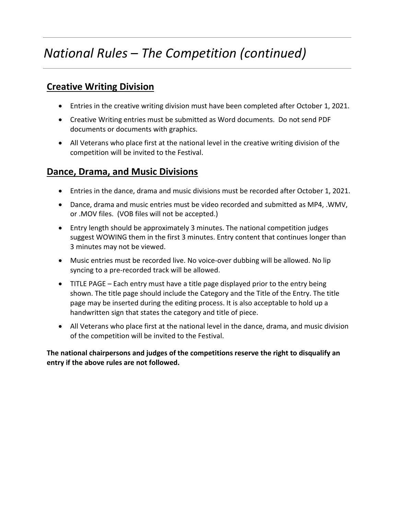# *National Rules – The Competition (continued)*

### **Creative Writing Division**

- Entries in the creative writing division must have been completed after October 1, 2021.
- Creative Writing entries must be submitted as Word documents. Do not send PDF documents or documents with graphics.
- All Veterans who place first at the national level in the creative writing division of the competition will be invited to the Festival.

### **Dance, Drama, and Music Divisions**

- Entries in the dance, drama and music divisions must be recorded after October 1, 2021.
- Dance, drama and music entries must be video recorded and submitted as MP4, .WMV, or .MOV files. (VOB files will not be accepted.)
- Entry length should be approximately 3 minutes. The national competition judges suggest WOWING them in the first 3 minutes. Entry content that continues longer than 3 minutes may not be viewed.
- Music entries must be recorded live. No voice-over dubbing will be allowed. No lip syncing to a pre-recorded track will be allowed.
- TITLE PAGE Each entry must have a title page displayed prior to the entry being shown. The title page should include the Category and the Title of the Entry. The title page may be inserted during the editing process. It is also acceptable to hold up a handwritten sign that states the category and title of piece.
- All Veterans who place first at the national level in the dance, drama, and music division of the competition will be invited to the Festival.

**The national chairpersons and judges of the competitions reserve the right to disqualify an entry if the above rules are not followed.**